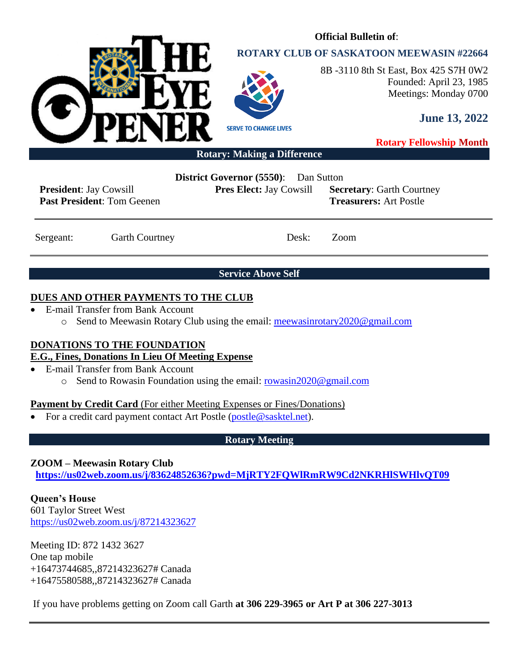

# **ROTARY CLUB OF SASKATOON MEEWASIN #22664**

**Official Bulletin of**:



8B -3110 8th St East, Box 425 S7H 0W2 Founded: April 23, 1985 Meetings: Monday 0700

**June 13, 2022**

**Rotary Fellowship Month**

**Rotary: Making a Difference**

**President**: Jay Cowsill **Past President**: Tom Geenen **District Governor (5550)**: Dan Sutton

**Pres Elect:** Jay Cowsill **Secretary**: Garth Courtney **Treasurers:** Art Postle

Sergeant: Garth Courtney Desk: Zoom

**Service Above Self**

# **DUES AND OTHER PAYMENTS TO THE CLUB**

- E-mail Transfer from Bank Account
	- o Send to Meewasin Rotary Club using the email: [meewasinrotary2020@gmail.com](mailto:meewasinrotary2020@gmail.com)

# **DONATIONS TO THE FOUNDATION**

# **E.G., Fines, Donations In Lieu Of Meeting Expense**

- E-mail Transfer from Bank Account
	- o Send to Rowasin Foundation using the email: [rowasin2020@gmail.com](mailto:rowasin2020@gmail.com)

# **Payment by Credit Card** (For either Meeting Expenses or Fines/Donations)

• For a credit card payment contact Art Postle [\(postle@sasktel.net\)](mailto:postle@sasktel.net).

# **Rotary Meeting**

# **ZOOM – Meewasin Rotary Club**

**[https://us02web.zoom.us/j/83624852636?pwd=MjRTY2FQWlRmRW9Cd2NKRHlSWHlvQT09](https://can01.safelinks.protection.outlook.com/?url=https%3A%2F%2Fus02web.zoom.us%2Fj%2F83624852636%3Fpwd%3DMjRTY2FQWlRmRW9Cd2NKRHlSWHlvQT09&data=04%7C01%7Ccpanko%40commonsenselawyer.com%7Ced41e005c3ab452d217408d8c53a6695%7C652c50d160e04e60a9982b6be68ca4a0%7C0%7C0%7C637476201917572504%7CUnknown%7CTWFpbGZsb3d8eyJWIjoiMC4wLjAwMDAiLCJQIjoiV2luMzIiLCJBTiI6Ik1haWwiLCJXVCI6Mn0%3D%7C3000&sdata=%2BasZ3EBpOHW4P4lXdj%2FC8%2FI8sU%2F5jZjAxSca541DwMc%3D&reserved=0)**

**Queen's House** 601 Taylor Street West <https://us02web.zoom.us/j/87214323627>

Meeting ID: 872 1432 3627 One tap mobile +16473744685,,87214323627# Canada +16475580588,,87214323627# Canada

If you have problems getting on Zoom call Garth **at 306 229-3965 or Art P at 306 227-3013**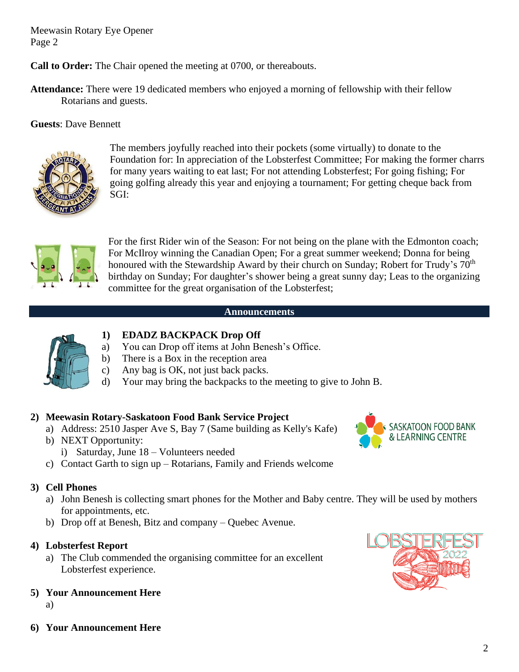**Call to Order:** The Chair opened the meeting at 0700, or thereabouts.

**Attendance:** There were 19 dedicated members who enjoyed a morning of fellowship with their fellow Rotarians and guests.

**Guests**: Dave Bennett



The members joyfully reached into their pockets (some virtually) to donate to the Foundation for: In appreciation of the Lobsterfest Committee; For making the former charrs for many years waiting to eat last; For not attending Lobsterfest; For going fishing; For going golfing already this year and enjoying a tournament; For getting cheque back from SGI:



For the first Rider win of the Season: For not being on the plane with the Edmonton coach; For McIlroy winning the Canadian Open; For a great summer weekend; Donna for being honoured with the Stewardship Award by their church on Sunday; Robert for Trudy's 70<sup>th</sup> birthday on Sunday; For daughter's shower being a great sunny day; Leas to the organizing committee for the great organisation of the Lobsterfest;

#### **Announcements**



# **1) EDADZ BACKPACK Drop Off**

- a) You can Drop off items at John Benesh's Office.
- b) There is a Box in the reception area
- c) Any bag is OK, not just back packs.
- d) Your may bring the backpacks to the meeting to give to John B.

## **2) Meewasin Rotary-Saskatoon Food Bank Service Project**

- a) Address: 2510 Jasper Ave S, Bay 7 (Same building as Kelly's Kafe)
- b) NEXT Opportunity:
	- i) Saturday, June 18 Volunteers needed
- c) Contact Garth to sign up Rotarians, Family and Friends welcome

## **3) Cell Phones**

- a) John Benesh is collecting smart phones for the Mother and Baby centre. They will be used by mothers for appointments, etc.
- b) Drop off at Benesh, Bitz and company Quebec Avenue.

## **4) Lobsterfest Report**

- a) The Club commended the organising committee for an excellent Lobsterfest experience.
- **5) Your Announcement Here**
	- a)
- **6) Your Announcement Here**



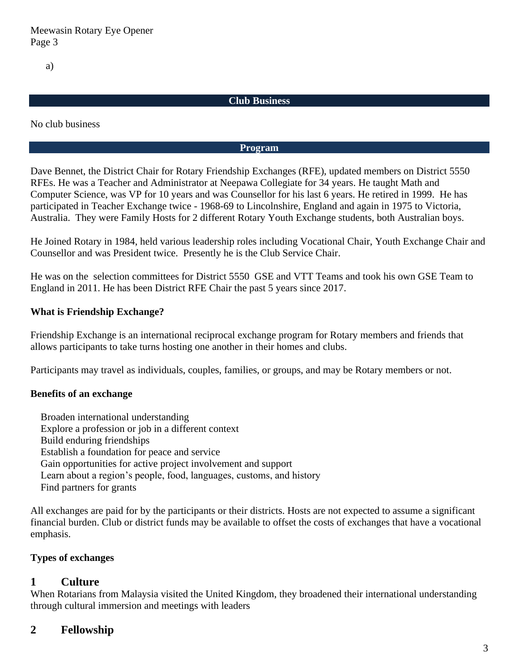a)

#### **Club Business**

No club business

#### **Program**

Dave Bennet, the District Chair for Rotary Friendship Exchanges (RFE), updated members on District 5550 RFEs. He was a Teacher and Administrator at Neepawa Collegiate for 34 years. He taught Math and Computer Science, was VP for 10 years and was Counsellor for his last 6 years. He retired in 1999. He has participated in Teacher Exchange twice - 1968-69 to Lincolnshire, England and again in 1975 to Victoria, Australia. They were Family Hosts for 2 different Rotary Youth Exchange students, both Australian boys.

He Joined Rotary in 1984, held various leadership roles including Vocational Chair, Youth Exchange Chair and Counsellor and was President twice. Presently he is the Club Service Chair.

He was on the selection committees for District 5550 GSE and VTT Teams and took his own GSE Team to England in 2011. He has been District RFE Chair the past 5 years since 2017.

#### **What is Friendship Exchange?**

Friendship Exchange is an international reciprocal exchange program for Rotary members and friends that allows participants to take turns hosting one another in their homes and clubs.

Participants may travel as individuals, couples, families, or groups, and may be Rotary members or not.

#### **Benefits of an exchange**

 Broaden international understanding Explore a profession or job in a different context Build enduring friendships Establish a foundation for peace and service Gain opportunities for active project involvement and support Learn about a region's people, food, languages, customs, and history Find partners for grants

All exchanges are paid for by the participants or their districts. Hosts are not expected to assume a significant financial burden. Club or district funds may be available to offset the costs of exchanges that have a vocational emphasis.

#### **Types of exchanges**

## **1 Culture**

When Rotarians from Malaysia visited the United Kingdom, they broadened their international understanding through cultural immersion and meetings with leaders

## **2 Fellowship**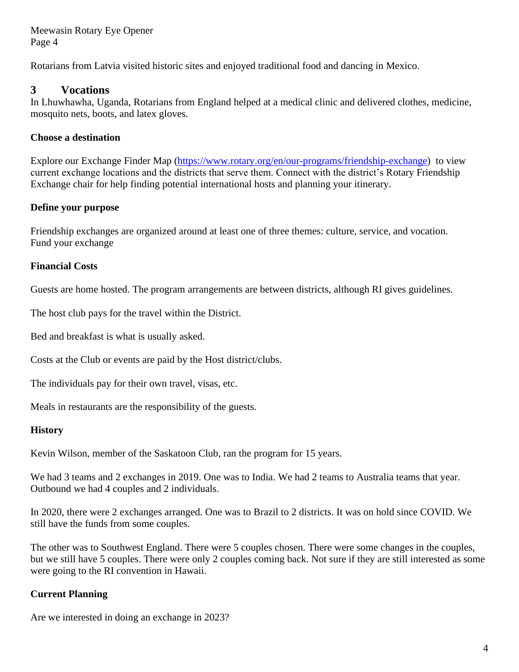Rotarians from Latvia visited historic sites and enjoyed traditional food and dancing in Mexico.

# **3 Vocations**

In Lhuwhawha, Uganda, Rotarians from England helped at a medical clinic and delivered clothes, medicine, mosquito nets, boots, and latex gloves.

## **Choose a destination**

Explore our Exchange Finder Map [\(https://www.rotary.org/en/our-programs/friendship-exchange\)](https://www.rotary.org/en/our-programs/friendship-exchange) to view current exchange locations and the districts that serve them. Connect with the district's Rotary Friendship Exchange chair for help finding potential international hosts and planning your itinerary.

## **Define your purpose**

Friendship exchanges are organized around at least one of three themes: culture, service, and vocation. Fund your exchange

# **Financial Costs**

Guests are home hosted. The program arrangements are between districts, although RI gives guidelines.

The host club pays for the travel within the District.

Bed and breakfast is what is usually asked.

Costs at the Club or events are paid by the Host district/clubs.

The individuals pay for their own travel, visas, etc.

Meals in restaurants are the responsibility of the guests.

## **History**

Kevin Wilson, member of the Saskatoon Club, ran the program for 15 years.

We had 3 teams and 2 exchanges in 2019. One was to India. We had 2 teams to Australia teams that year. Outbound we had 4 couples and 2 individuals.

In 2020, there were 2 exchanges arranged. One was to Brazil to 2 districts. It was on hold since COVID. We still have the funds from some couples.

The other was to Southwest England. There were 5 couples chosen. There were some changes in the couples, but we still have 5 couples. There were only 2 couples coming back. Not sure if they are still interested as some were going to the RI convention in Hawaii.

# **Current Planning**

Are we interested in doing an exchange in 2023?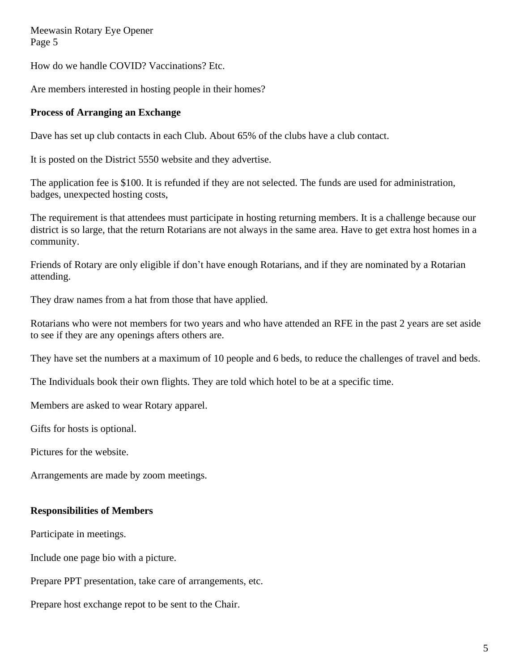How do we handle COVID? Vaccinations? Etc.

Are members interested in hosting people in their homes?

### **Process of Arranging an Exchange**

Dave has set up club contacts in each Club. About 65% of the clubs have a club contact.

It is posted on the District 5550 website and they advertise.

The application fee is \$100. It is refunded if they are not selected. The funds are used for administration, badges, unexpected hosting costs,

The requirement is that attendees must participate in hosting returning members. It is a challenge because our district is so large, that the return Rotarians are not always in the same area. Have to get extra host homes in a community.

Friends of Rotary are only eligible if don't have enough Rotarians, and if they are nominated by a Rotarian attending.

They draw names from a hat from those that have applied.

Rotarians who were not members for two years and who have attended an RFE in the past 2 years are set aside to see if they are any openings afters others are.

They have set the numbers at a maximum of 10 people and 6 beds, to reduce the challenges of travel and beds.

The Individuals book their own flights. They are told which hotel to be at a specific time.

Members are asked to wear Rotary apparel.

Gifts for hosts is optional.

Pictures for the website.

Arrangements are made by zoom meetings.

#### **Responsibilities of Members**

Participate in meetings.

Include one page bio with a picture.

Prepare PPT presentation, take care of arrangements, etc.

Prepare host exchange repot to be sent to the Chair.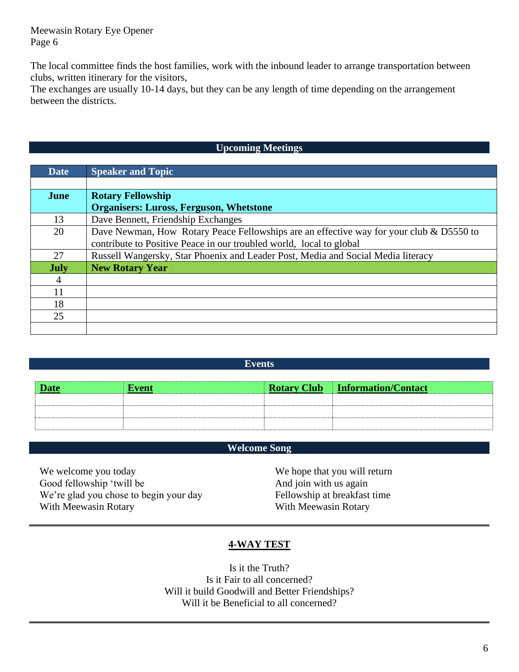The local committee finds the host families, work with the inbound leader to arrange transportation between clubs, written itinerary for the visitors,

The exchanges are usually 10-14 days, but they can be any length of time depending on the arrangement between the districts.

### **Upcoming Meetings**

| <b>Date</b> | <b>Speaker and Topic</b>                                                                |  |
|-------------|-----------------------------------------------------------------------------------------|--|
|             |                                                                                         |  |
| <b>June</b> | <b>Rotary Fellowship</b>                                                                |  |
|             | <b>Organisers: Luross, Ferguson, Whetstone</b>                                          |  |
| 13          | Dave Bennett, Friendship Exchanges                                                      |  |
| 20          | Dave Newman, How Rotary Peace Fellowships are an effective way for your club & D5550 to |  |
|             | contribute to Positive Peace in our troubled world, local to global                     |  |
| 27          | Russell Wangersky, Star Phoenix and Leader Post, Media and Social Media literacy        |  |
| <b>July</b> | <b>New Rotary Year</b>                                                                  |  |
| 4           |                                                                                         |  |
| 11          |                                                                                         |  |
| 18          |                                                                                         |  |
| 25          |                                                                                         |  |
|             |                                                                                         |  |

#### **Events**

| <b>Date</b> | <b>Event</b> | <b>Rotary Club Information/Contact</b> |
|-------------|--------------|----------------------------------------|
|             |              |                                        |
|             |              |                                        |
|             |              |                                        |

## **Welcome Song**

We welcome you today Good fellowship 'twill be We're glad you chose to begin your day With Meewasin Rotary

We hope that you will return And join with us again Fellowship at breakfast time With Meewasin Rotary

#### **4-WAY TEST**

Is it the Truth? Is it Fair to all concerned? Will it build Goodwill and Better Friendships? Will it be Beneficial to all concerned?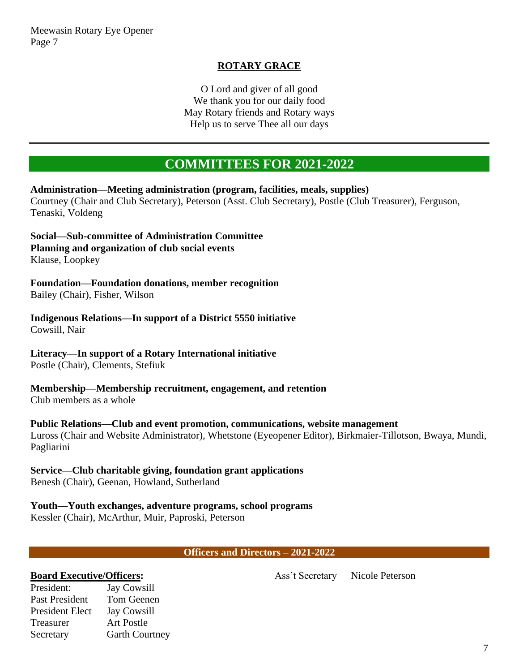## **ROTARY GRACE**

O Lord and giver of all good We thank you for our daily food May Rotary friends and Rotary ways Help us to serve Thee all our days

# **COMMITTEES FOR 2021-2022**

**Administration—Meeting administration (program, facilities, meals, supplies)** Courtney (Chair and Club Secretary), Peterson (Asst. Club Secretary), Postle (Club Treasurer), Ferguson, Tenaski, Voldeng

**Social—Sub-committee of Administration Committee Planning and organization of club social events** Klause, Loopkey

**Foundation—Foundation donations, member recognition** Bailey (Chair), Fisher, Wilson

**Indigenous Relations—In support of a District 5550 initiative** Cowsill, Nair

**Literacy—In support of a Rotary International initiative**

Postle (Chair), Clements, Stefiuk

**Membership—Membership recruitment, engagement, and retention** Club members as a whole

**Public Relations—Club and event promotion, communications, website management**

Luross (Chair and Website Administrator), Whetstone (Eyeopener Editor), Birkmaier-Tillotson, Bwaya, Mundi, Pagliarini

#### **Service—Club charitable giving, foundation grant applications** Benesh (Chair), Geenan, Howland, Sutherland

# **Youth—Youth exchanges, adventure programs, school programs**

Kessler (Chair), McArthur, Muir, Paproski, Peterson

#### **Officers and Directors – 2021-2022**

#### **Board Executive/Officers:**

Ass't Secretary Nicole Peterson

President: Jay Cowsill Past President Tom Geenen President Elect Jay Cowsill Treasurer Art Postle Secretary Garth Courtney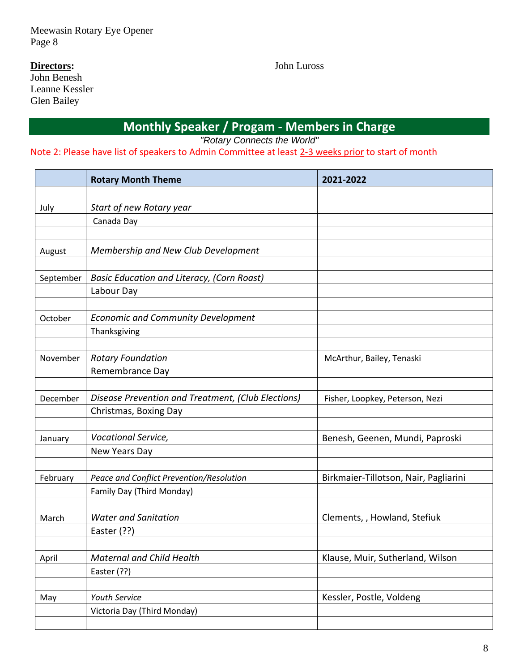# **Directors:**

John Benesh Leanne Kessler Glen Bailey

John Luross

**Monthly Speaker / Progam - Members in Charge**

*"Rotary Connects the World"*

Note 2: Please have list of speakers to Admin Committee at least 2-3 weeks prior to start of month

|           | <b>Rotary Month Theme</b>                                             | 2021-2022                             |
|-----------|-----------------------------------------------------------------------|---------------------------------------|
|           |                                                                       |                                       |
| July      | Start of new Rotary year                                              |                                       |
|           | Canada Day                                                            |                                       |
|           |                                                                       |                                       |
| August    | Membership and New Club Development                                   |                                       |
|           |                                                                       |                                       |
| September | <b>Basic Education and Literacy, (Corn Roast)</b>                     |                                       |
|           | Labour Day                                                            |                                       |
|           |                                                                       |                                       |
| October   | <b>Economic and Community Development</b>                             |                                       |
|           | Thanksgiving                                                          |                                       |
|           |                                                                       |                                       |
| November  | <b>Rotary Foundation</b>                                              | McArthur, Bailey, Tenaski             |
|           | Remembrance Day                                                       |                                       |
|           |                                                                       |                                       |
| December  | Disease Prevention and Treatment, (Club Elections)                    | Fisher, Loopkey, Peterson, Nezi       |
|           | Christmas, Boxing Day                                                 |                                       |
|           |                                                                       |                                       |
| January   | Vocational Service,                                                   | Benesh, Geenen, Mundi, Paproski       |
|           | New Years Day                                                         |                                       |
|           |                                                                       |                                       |
| February  | Peace and Conflict Prevention/Resolution<br>Family Day (Third Monday) | Birkmaier-Tillotson, Nair, Pagliarini |
|           |                                                                       |                                       |
| March     | <b>Water and Sanitation</b>                                           | Clements, , Howland, Stefiuk          |
|           | Easter (??)                                                           |                                       |
|           |                                                                       |                                       |
| April     | <b>Maternal and Child Health</b>                                      | Klause, Muir, Sutherland, Wilson      |
|           | Easter (??)                                                           |                                       |
|           |                                                                       |                                       |
| May       | Youth Service                                                         | Kessler, Postle, Voldeng              |
|           | Victoria Day (Third Monday)                                           |                                       |
|           |                                                                       |                                       |